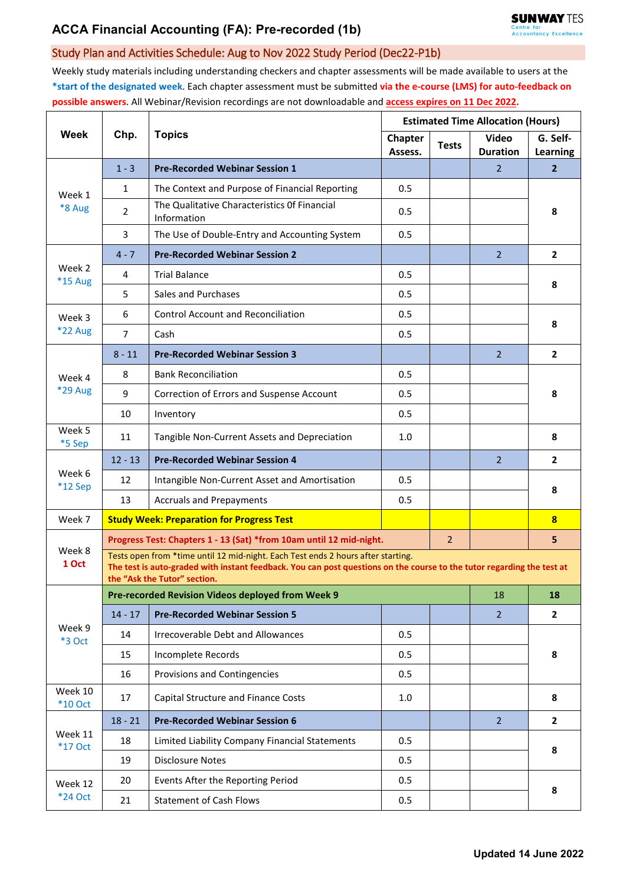## Study Plan and Activities Schedule: Aug to Nov 2022 Study Period (Dec22-P1b)

Weekly study materials including understanding checkers and chapter assessments will be made available to users at the **\*start of the designated week**. Each chapter assessment must be submitted **via the e-course (LMS) for auto-feedback on possible answers**. All Webinar/Revision recordings are not downloadable and **access expires on 11 Dec 2022.**

| Week                     | Chp.           | <b>Topics</b>                                                                                                                                                                                                                              | <b>Estimated Time Allocation (Hours)</b> |              |                                 |                         |  |  |  |  |
|--------------------------|----------------|--------------------------------------------------------------------------------------------------------------------------------------------------------------------------------------------------------------------------------------------|------------------------------------------|--------------|---------------------------------|-------------------------|--|--|--|--|
|                          |                |                                                                                                                                                                                                                                            | Chapter<br>Assess.                       | <b>Tests</b> | <b>Video</b><br><b>Duration</b> | G. Self-<br>Learning    |  |  |  |  |
| Week 1<br>*8 Aug         | $1 - 3$        | <b>Pre-Recorded Webinar Session 1</b>                                                                                                                                                                                                      |                                          |              | $\overline{2}$                  | $\overline{2}$          |  |  |  |  |
|                          | $\mathbf{1}$   | The Context and Purpose of Financial Reporting                                                                                                                                                                                             | 0.5                                      |              |                                 | 8                       |  |  |  |  |
|                          | $\overline{2}$ | The Qualitative Characteristics Of Financial<br>Information                                                                                                                                                                                | 0.5                                      |              |                                 |                         |  |  |  |  |
|                          | 3              | The Use of Double-Entry and Accounting System                                                                                                                                                                                              | 0.5                                      |              |                                 |                         |  |  |  |  |
| Week 2<br>*15 Aug        | $4 - 7$        | <b>Pre-Recorded Webinar Session 2</b>                                                                                                                                                                                                      |                                          |              | $\overline{2}$                  | $\mathbf{2}$            |  |  |  |  |
|                          | 4              | <b>Trial Balance</b>                                                                                                                                                                                                                       | 0.5                                      |              |                                 | 8                       |  |  |  |  |
|                          | 5              | Sales and Purchases                                                                                                                                                                                                                        | 0.5                                      |              |                                 |                         |  |  |  |  |
| Week 3<br><b>*22 Aug</b> | 6              | <b>Control Account and Reconciliation</b>                                                                                                                                                                                                  | 0.5                                      |              |                                 | 8                       |  |  |  |  |
|                          | $\overline{7}$ | Cash                                                                                                                                                                                                                                       | 0.5                                      |              |                                 |                         |  |  |  |  |
| Week 4<br>*29 Aug        | $8 - 11$       | <b>Pre-Recorded Webinar Session 3</b>                                                                                                                                                                                                      |                                          |              | $\overline{2}$                  | $\overline{2}$          |  |  |  |  |
|                          | 8              | <b>Bank Reconciliation</b>                                                                                                                                                                                                                 | 0.5                                      |              |                                 | 8                       |  |  |  |  |
|                          | 9              | Correction of Errors and Suspense Account                                                                                                                                                                                                  | 0.5                                      |              |                                 |                         |  |  |  |  |
|                          | 10             | Inventory                                                                                                                                                                                                                                  | 0.5                                      |              |                                 |                         |  |  |  |  |
| Week 5<br>*5 Sep         | 11             | Tangible Non-Current Assets and Depreciation                                                                                                                                                                                               | 1.0                                      |              |                                 | 8                       |  |  |  |  |
|                          | $12 - 13$      | <b>Pre-Recorded Webinar Session 4</b>                                                                                                                                                                                                      |                                          |              | $\overline{2}$                  | $\overline{2}$          |  |  |  |  |
| Week 6<br>$*12$ Sep      | 12             | Intangible Non-Current Asset and Amortisation                                                                                                                                                                                              | 0.5                                      |              |                                 | 8                       |  |  |  |  |
|                          | 13             | <b>Accruals and Prepayments</b>                                                                                                                                                                                                            | 0.5                                      |              |                                 |                         |  |  |  |  |
| Week 7                   |                | <b>Study Week: Preparation for Progress Test</b>                                                                                                                                                                                           |                                          |              |                                 | $\overline{\mathbf{8}}$ |  |  |  |  |
| Week 8<br>1 Oct          |                | Progress Test: Chapters 1 - 13 (Sat) *from 10am until 12 mid-night.                                                                                                                                                                        |                                          |              |                                 | 5                       |  |  |  |  |
|                          |                | Tests open from *time until 12 mid-night. Each Test ends 2 hours after starting.<br>The test is auto-graded with instant feedback. You can post questions on the course to the tutor regarding the test at<br>the "Ask the Tutor" section. |                                          |              |                                 |                         |  |  |  |  |
| Week 9<br>*3 Oct         |                | Pre-recorded Revision Videos deployed from Week 9                                                                                                                                                                                          |                                          |              | 18                              | 18                      |  |  |  |  |
|                          | $14 - 17$      | <b>Pre-Recorded Webinar Session 5</b>                                                                                                                                                                                                      |                                          |              | 2 <sup>1</sup>                  | $\mathbf{2}$            |  |  |  |  |
|                          | 14             | Irrecoverable Debt and Allowances                                                                                                                                                                                                          | 0.5                                      |              |                                 | 8                       |  |  |  |  |
|                          | 15             | Incomplete Records                                                                                                                                                                                                                         | 0.5                                      |              |                                 |                         |  |  |  |  |
|                          | 16             | Provisions and Contingencies                                                                                                                                                                                                               | 0.5                                      |              |                                 |                         |  |  |  |  |
| Week 10<br>$*10$ Oct     | 17             | Capital Structure and Finance Costs                                                                                                                                                                                                        | 1.0                                      |              |                                 | 8                       |  |  |  |  |
| Week 11<br>*17 Oct       | $18 - 21$      | <b>Pre-Recorded Webinar Session 6</b>                                                                                                                                                                                                      |                                          |              | $\overline{2}$                  | $\mathbf{2}$            |  |  |  |  |
|                          | 18             | Limited Liability Company Financial Statements                                                                                                                                                                                             | 0.5                                      |              |                                 | 8                       |  |  |  |  |
|                          | 19             | <b>Disclosure Notes</b>                                                                                                                                                                                                                    | 0.5                                      |              |                                 |                         |  |  |  |  |
| Week 12<br>*24 Oct       | 20             | Events After the Reporting Period                                                                                                                                                                                                          | 0.5                                      |              |                                 | 8                       |  |  |  |  |
|                          | 21             | <b>Statement of Cash Flows</b>                                                                                                                                                                                                             | 0.5                                      |              |                                 |                         |  |  |  |  |